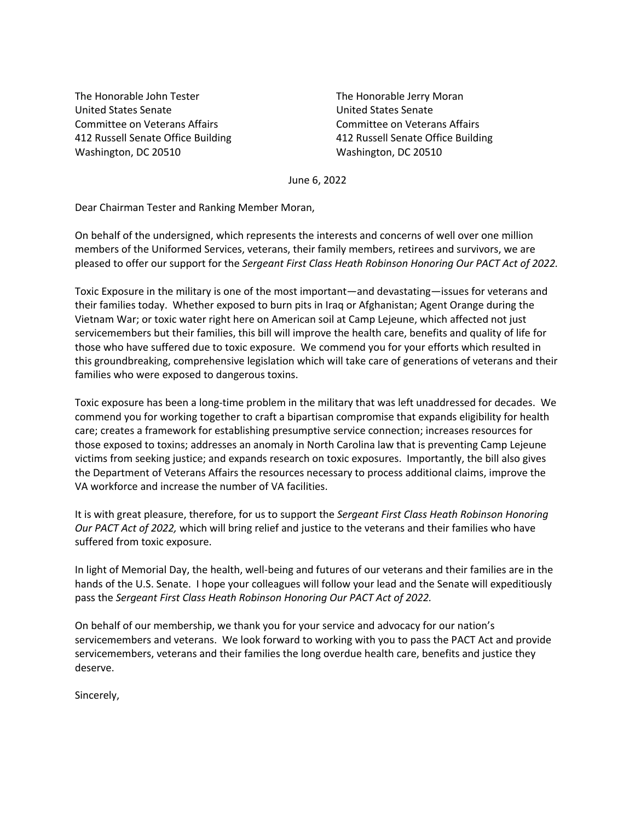The Honorable John Tester United States Senate Committee on Veterans Affairs 412 Russell Senate Office Building Washington, DC 20510

The Honorable Jerry Moran United States Senate Committee on Veterans Affairs 412 Russell Senate Office Building Washington, DC 20510

June 6, 2022

Dear Chairman Tester and Ranking Member Moran,

On behalf of the undersigned, which represents the interests and concerns of well over one million members of the Uniformed Services, veterans, their family members, retirees and survivors, we are pleased to offer our support for the *Sergeant First Class Heath Robinson Honoring Our PACT Act of 2022.*

Toxic Exposure in the military is one of the most important—and devastating—issues for veterans and their families today. Whether exposed to burn pits in Iraq or Afghanistan; Agent Orange during the Vietnam War; or toxic water right here on American soil at Camp Lejeune, which affected not just servicemembers but their families, this bill will improve the health care, benefits and quality of life for those who have suffered due to toxic exposure. We commend you for your efforts which resulted in this groundbreaking, comprehensive legislation which will take care of generations of veterans and their families who were exposed to dangerous toxins.

Toxic exposure has been a long-time problem in the military that was left unaddressed for decades. We commend you for working together to craft a bipartisan compromise that expands eligibility for health care; creates a framework for establishing presumptive service connection; increases resources for those exposed to toxins; addresses an anomaly in North Carolina law that is preventing Camp Lejeune victims from seeking justice; and expands research on toxic exposures. Importantly, the bill also gives the Department of Veterans Affairs the resources necessary to process additional claims, improve the VA workforce and increase the number of VA facilities.

It is with great pleasure, therefore, for us to support the *Sergeant First Class Heath Robinson Honoring Our PACT Act of 2022,* which will bring relief and justice to the veterans and their families who have suffered from toxic exposure.

In light of Memorial Day, the health, well-being and futures of our veterans and their families are in the hands of the U.S. Senate. I hope your colleagues will follow your lead and the Senate will expeditiously pass the *Sergeant First Class Heath Robinson Honoring Our PACT Act of 2022.*

On behalf of our membership, we thank you for your service and advocacy for our nation's servicemembers and veterans. We look forward to working with you to pass the PACT Act and provide servicemembers, veterans and their families the long overdue health care, benefits and justice they deserve.

Sincerely,